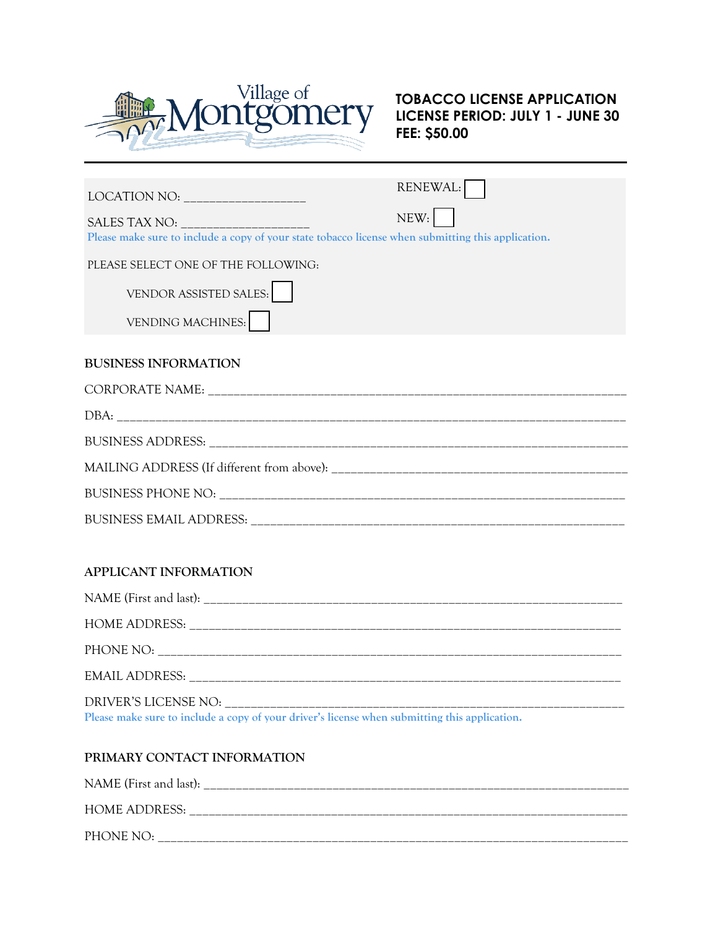

# **TOBACCO LICENSE APPLICATION LICENSE PERIOD: JULY 1 - JUNE 30 FEE: \$50.00**

|                                                                                                    | RENEWAL: |  |
|----------------------------------------------------------------------------------------------------|----------|--|
| SALES TAX NO: _____________________                                                                | NEW:     |  |
| Please make sure to include a copy of your state tobacco license when submitting this application. |          |  |
| PLEASE SELECT ONE OF THE FOLLOWING:                                                                |          |  |
| VENDOR ASSISTED SALES:                                                                             |          |  |
| <b>VENDING MACHINES:</b>                                                                           |          |  |
|                                                                                                    |          |  |
| <b>BUSINESS INFORMATION</b>                                                                        |          |  |
|                                                                                                    |          |  |
|                                                                                                    |          |  |
|                                                                                                    |          |  |
|                                                                                                    |          |  |
|                                                                                                    |          |  |
|                                                                                                    |          |  |

#### **APPLICANT INFORMATION**

| Please make sure to include a copy of your driver's license when submitting this application. |
|-----------------------------------------------------------------------------------------------|

# **PRIMARY CONTACT INFORMATION**

| NAME (First and last): |
|------------------------|
| <b>HOME ADDRESS:</b>   |
| PHONE NO:              |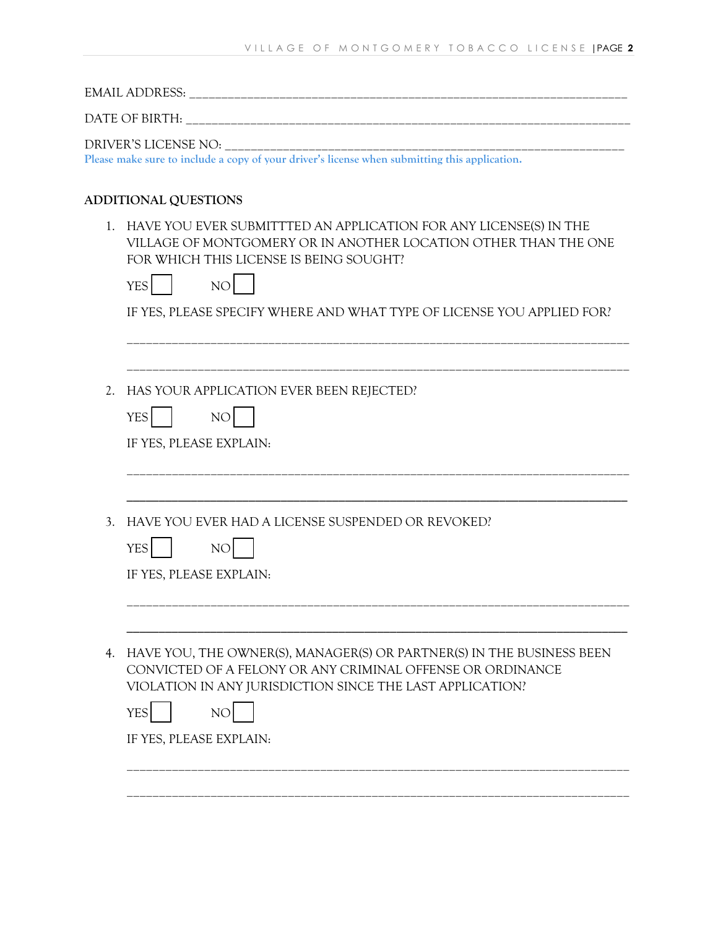EMAIL ADDRESS: \_\_\_\_\_\_\_\_\_\_\_\_\_\_\_\_\_\_\_\_\_\_\_\_\_\_\_\_\_\_\_\_\_\_\_\_\_\_\_\_\_\_\_\_\_\_\_\_\_\_\_\_\_\_\_\_\_\_\_\_\_\_\_\_\_\_\_\_

DATE OF BIRTH: \_\_\_\_\_\_\_\_\_\_\_\_\_\_\_\_\_\_\_\_\_\_\_\_\_\_\_\_\_\_\_\_\_\_\_\_\_\_\_\_\_\_\_\_\_\_\_\_\_\_\_\_\_\_\_\_\_\_\_\_\_\_\_\_\_\_\_\_\_

DRIVER'S LICENSE NO:

**Please make sure to include a copy of your driver's license when submitting this application.**

## **ADDITIONAL QUESTIONS**

1. HAVE YOU EVER SUBMITTTED AN APPLICATION FOR ANY LICENSE(S) IN THE VILLAGE OF MONTGOMERY OR IN ANOTHER LOCATION OTHER THAN THE ONE FOR WHICH THIS LICENSE IS BEING SOUGHT?

|    | FOR WHICH THIS LICENSE IS BEING SOUGHT?<br>NO <sub>l</sub><br><b>YES</b>                                                            |
|----|-------------------------------------------------------------------------------------------------------------------------------------|
|    | IF YES, PLEASE SPECIFY WHERE AND WHAT TYPE OF LICENSE YOU APPLIED FOR?                                                              |
| 2. | HAS YOUR APPLICATION EVER BEEN REJECTED?<br><b>YES</b><br>NO                                                                        |
|    | IF YES, PLEASE EXPLAIN:                                                                                                             |
| 3. | HAVE YOU EVER HAD A LICENSE SUSPENDED OR REVOKED?<br><b>YES</b><br>NO<br>IF YES, PLEASE EXPLAIN:                                    |
| 4. | HAVE YOU, THE OWNER(S), MANAGER(S) OR PARTNER(S) IN THE BUSINESS BEEN<br>CONVICTED OF A FELONY OR ANY CRIMINAL OFFENSE OR ORDINANCE |
|    | VIOLATION IN ANY JURISDICTION SINCE THE LAST APPLICATION?<br><b>YES</b><br>NO<br>IF YES, PLEASE EXPLAIN:                            |
|    |                                                                                                                                     |